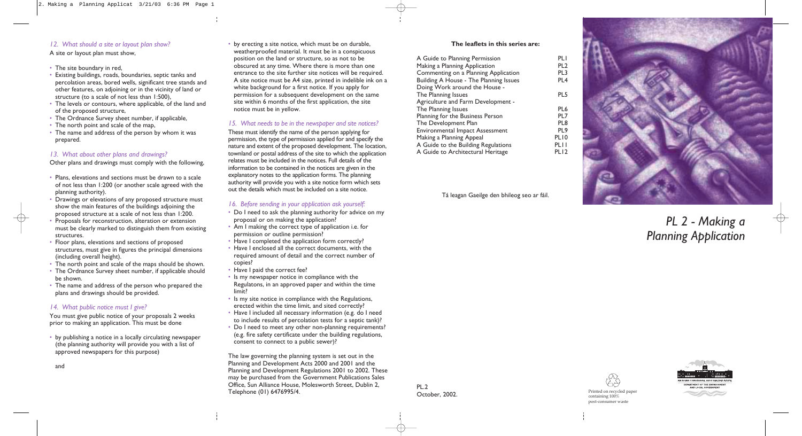# *PL 2 - Making a Planning Application*



## *12. What should a site or layout plan show?*

A site or layout plan must show,

- The site boundary in red,
- Existing buildings, roads, boundaries, septic tanks and percolation areas, bored wells, significant tree stands and other features, on adjoining or in the vicinity of land or structure (to a scale of not less than 1:500),
- The levels or contours, where applicable, of the land and of the proposed structure,
- The Ordnance Survey sheet number, if applicable,
- The north point and scale of the map,
- The name and address of the person by whom it was prepared.

## *13. What about other plans and drawings?*

Other plans and drawings must comply with the following,

- Plans, elevations and sections must be drawn to a scale of not less than 1:200 (or another scale agreed with the planning authority).
- Drawings or elevations of any proposed structure must show the main features of the buildings adjoining the proposed structure at a scale of not less than 1:200.
- Proposals for reconstruction, alteration or extension must be clearly marked to distinguish them from existing structures.
- Floor plans, elevations and sections of proposed structures, must give in figures the principal dimensions (including overall height).
- The north point and scale of the maps should be shown.
- The Ordnance Survey sheet number, if applicable should be shown.
- The name and address of the person who prepared the plans and drawings should be provided.

#### *14. What public notice must I give?*

You must give public notice of your proposals 2 weeks prior to making an application. This must be done

• by publishing a notice in a locally circulating newspaper (the planning authority will provide you with a list of approved newspapers for this purpose)

and

• by erecting a site notice, which must be on durable, weatherproofed material. It must be in a conspicuous position on the land or structure, so as not to be obscured at any time. Where there is more than one entrance to the site further site notices will be required. A site notice must be A4 size, printed in indelible ink on a white background for a first notice. If you apply for permission for a subsequent development on the same site within 6 months of the first application, the site notice must be in yellow.

## *15. What needs to be in the newspaper and site notices?*

Printed on recycled paper<br> **October, 2002.** Printed on recycled paper containing 100% post-consumer waste



These must identify the name of the person applying for permission, the type of permission applied for and specify the nature and extent of the proposed development. The location, townland or postal address of the site to which the application relates must be included in the notices. Full details of the information to be contained in the notices are given in the explanatory notes to the application forms. The planning authority will provide you with a site notice form which sets out the details which must be included on a site notice.

## *16. Before sending in your application ask yourself:*

- Do I need to ask the planning authority for advice on my proposal or on making the application?
- Am I making the correct type of application i.e. for permission or outline permission?
- Have I completed the application form correctly?
- Have I enclosed all the correct documents, with the required amount of detail and the correct number of copies?
- Have I paid the correct fee?
- Is my newspaper notice in compliance with the Regulatons, in an approved paper and within the time limit?
- Is my site notice in compliance with the Regulations, erected within the time limit, and sited correctly?
- Have I included all necessary information (e.g. do I need to include results of percolation tests for a septic tank)?
- Do I need to meet any other non-planning requirements? (e.g. fire safety certificate under the building regulations, consent to connect to a public sewer)?

The law governing the planning system is set out in the Planning and Development Acts 2000 and 2001 and the Planning and Development Regulations 2001 to 2002. These may be purchased from the Government Publications Sales Office, Sun Alliance House, Molesworth Street, Dublin 2, Telephone (01) 6476995/4.

## **The leaflets in this series are:**

| A Guide to Planning Permission         | <b>PLI</b>       |
|----------------------------------------|------------------|
| Making a Planning Application          | PL <sub>2</sub>  |
| Commenting on a Planning Application   | PL3              |
| Building A House - The Planning Issues | PL <sub>4</sub>  |
| Doing Work around the House -          |                  |
| The Planning Issues                    | PL5              |
| Agriculture and Farm Development -     |                  |
| The Planning Issues                    | PL6              |
| Planning for the Business Person       | PL7              |
| The Development Plan                   | PL <sub>8</sub>  |
| <b>Environmental Impact Assessment</b> | PL9              |
| Making a Planning Appeal               | PL <sub>10</sub> |
| A Guide to the Building Regulations    | PL I I           |
| A Guide to Architectural Heritage      | PLI <sub>2</sub> |
|                                        |                  |

Tá leagan Gaeilge den bhileog seo ar fáil.

PL.2